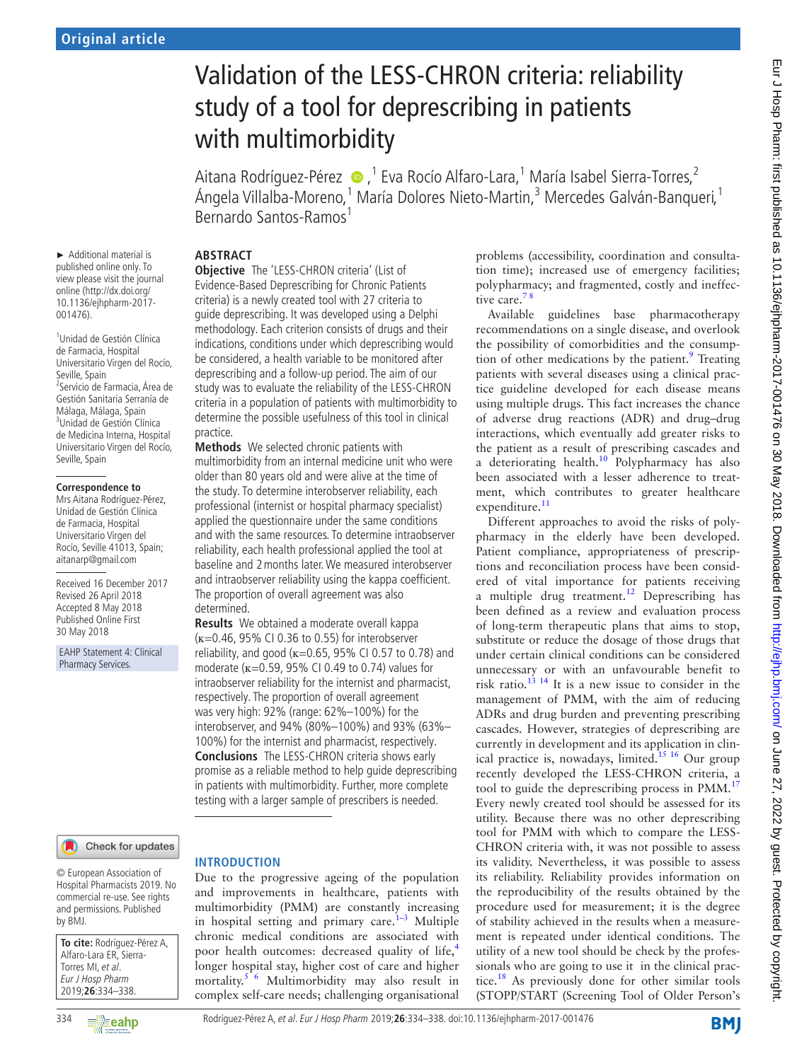#### ► Additional material is published online only. To view please visit the journal online (http://dx.doi.org/ 10.1136/ejhpharm-2017- 001476).

1 Unidad de Gestión Clínica de Farmacia, Hospital Universitario Virgen del Rocío, Seville, Spain 2 Servicio de Farmacia, Área de Gestión Sanitaria Serranía de Málaga, Málaga, Spain 3 Unidad de Gestión Clínica de Medicina Interna, Hospital Universitario Virgen del Rocío, Seville, Spain

#### **Correspondence to**

Mrs Aitana Rodríguez-Pérez, Unidad de Gestión Clínica de Farmacia, Hospital Universitario Virgen del Rocío, Seville 41013, Spain; aitanarp@gmail.com

Received 16 December 2017 Revised 26 April 2018 Accepted 8 May 2018 Published Online First 30 May 2018

EAHP Statement 4: Clinical Pharmacy Services.

# Validation of the LESS-CHRON criteria: reliability study of a tool for deprescribing in patients with multimorbidity

Aitana Rodríguez-Pérez  $\bullet$ ,<sup>1</sup> Eva Rocío Alfaro-Lara,<sup>1</sup> María Isabel Sierra-Torres,<sup>2</sup> Ángela Villalba-Moreno,<sup>1</sup> María Dolores Nieto-Martin,<sup>3</sup> Mercedes Galván-Banqueri,<sup>1</sup> Bernardo Santos-Ramos<sup>1</sup>

# **Abstract**

**Objective** The 'LESS-CHRON criteria' (List of Evidence-Based Deprescribing for Chronic Patients criteria) is a newly created tool with 27 criteria to guide deprescribing. It was developed using a Delphi methodology. Each criterion consists of drugs and their indications, conditions under which deprescribing would be considered, a health variable to be monitored after deprescribing and a follow-up period. The aim of our study was to evaluate the reliability of the LESS-CHRON criteria in a population of patients with multimorbidity to determine the possible usefulness of this tool in clinical practice.

**Methods** We selected chronic patients with multimorbidity from an internal medicine unit who were older than 80 years old and were alive at the time of the study. To determine interobserver reliability, each professional (internist or hospital pharmacy specialist) applied the questionnaire under the same conditions and with the same resources. To determine intraobserver reliability, each health professional applied the tool at baseline and 2months later. We measured interobserver and intraobserver reliability using the kappa coefficient. The proportion of overall agreement was also determined.

**Results** We obtained a moderate overall kappa (ĸ=0.46, 95% CI 0.36 to 0.55) for interobserver reliability, and good ( $\kappa$ =0.65, 95% CI 0.57 to 0.78) and moderate ( $x=0.59$ , 95% CI 0.49 to 0.74) values for intraobserver reliability for the internist and pharmacist, respectively. The proportion of overall agreement was very high: 92% (range: 62%–100%) for the interobserver, and 94% (80%–100%) and 93% (63%– 100%) for the internist and pharmacist, respectively. **Conclusions** The LESS-CHRON criteria shows early promise as a reliable method to help guide deprescribing in patients with multimorbidity. Further, more complete testing with a larger sample of prescribers is needed.

#### Check for updates

© European Association of Hospital Pharmacists 2019. No commercial re-use. See rights and permissions. Published by BMJ.

| To cite: Rodríguez-Pérez A, |
|-----------------------------|
| Alfaro-Lara ER, Sierra-     |
| Torres MI, et al.           |
| Eur J Hosp Pharm            |
| 2019:26:334-338.            |

# **Introduction**

Due to the progressive ageing of the population and improvements in healthcare, patients with multimorbidity (PMM) are constantly increasing in hospital setting and primary care.<sup>1-3</sup> Multiple chronic medical conditions are associated with poor health outcomes: decreased quality of life,<sup>[4](#page-4-1)</sup> longer hospital stay, higher cost of care and higher mortality.[5 6](#page-4-2) Multimorbidity may also result in complex self-care needs; challenging organisational problems (accessibility, coordination and consultation time); increased use of emergency facilities; polypharmacy; and fragmented, costly and ineffective care.<sup>78</sup>

Available guidelines base pharmacotherapy recommendations on a single disease, and overlook the possibility of comorbidities and the consumption of other medications by the patient. $\degree$  Treating patients with several diseases using a clinical practice guideline developed for each disease means using multiple drugs. This fact increases the chance of adverse drug reactions (ADR) and drug–drug interactions, which eventually add greater risks to the patient as a result of prescribing cascades and a deteriorating health. $10$  Polypharmacy has also been associated with a lesser adherence to treatment, which contributes to greater healthcare expenditure.<sup>[11](#page-4-6)</sup>

Different approaches to avoid the risks of polypharmacy in the elderly have been developed. Patient compliance, appropriateness of prescriptions and reconciliation process have been considered of vital importance for patients receiving a multiple drug treatment.<sup>12</sup> Deprescribing has been defined as a review and evaluation process of long-term therapeutic plans that aims to stop, substitute or reduce the dosage of those drugs that under certain clinical conditions can be considered unnecessary or with an unfavourable benefit to risk ratio. $13^{14}$  It is a new issue to consider in the management of PMM, with the aim of reducing ADRs and drug burden and preventing prescribing cascades. However, strategies of deprescribing are currently in development and its application in clinical practice is, nowadays, limited.<sup>15 16</sup> Our group recently developed the LESS-CHRON criteria, a tool to guide the deprescribing process in PMM.<sup>[17](#page-4-10)</sup> Every newly created tool should be assessed for its utility. Because there was no other deprescribing tool for PMM with which to compare the LESS-CHRON criteria with, it was not possible to assess its validity. Nevertheless, it was possible to assess its reliability. Reliability provides information on the reproducibility of the results obtained by the procedure used for measurement; it is the degree of stability achieved in the results when a measurement is repeated under identical conditions. The utility of a new tool should be check by the professionals who are going to use it in the clinical prac-tice.<sup>[18](#page-4-11)</sup> As previously done for other similar tools (STOPP/START (Screening Tool of Older Person's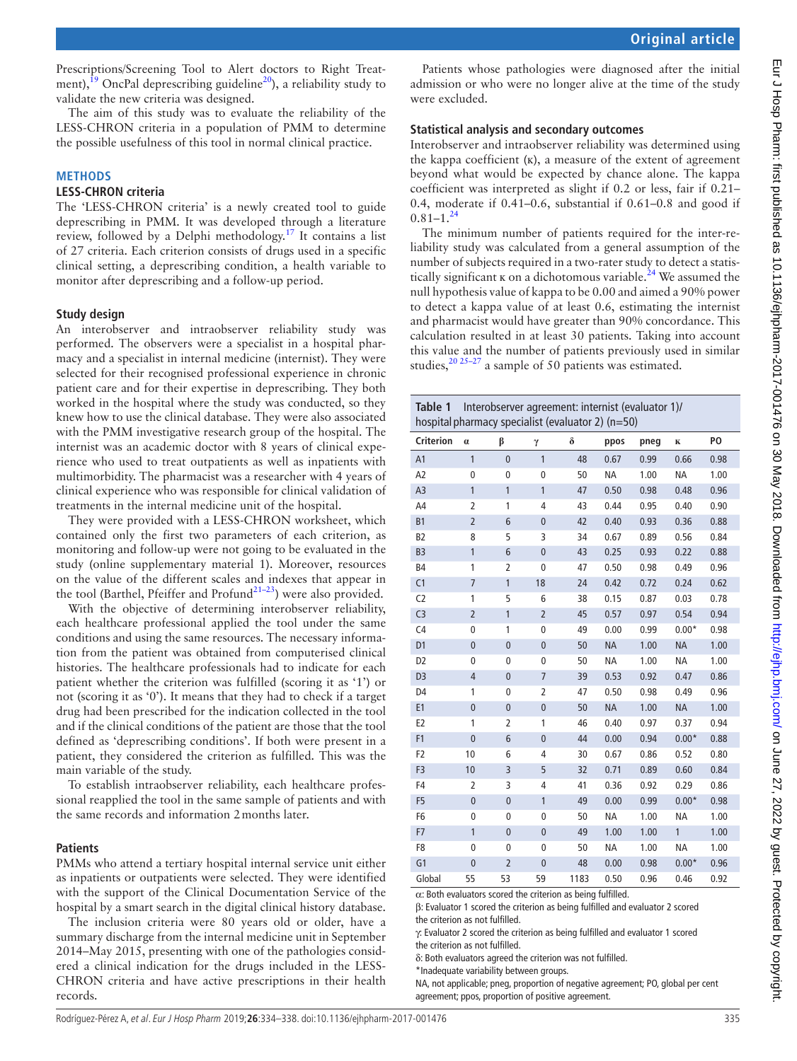Prescriptions/Screening Tool to Alert doctors to Right Treatment),  $^{19}$  OncPal deprescribing guideline<sup>[20](#page-4-13)</sup>), a reliability study to validate the new criteria was designed.

The aim of this study was to evaluate the reliability of the LESS-CHRON criteria in a population of PMM to determine the possible usefulness of this tool in normal clinical practice.

#### **Methods**

#### **LESS-CHRON criteria**

The 'LESS-CHRON criteria' is a newly created tool to guide deprescribing in PMM. It was developed through a literature review, followed by a Delphi methodology.<sup>[17](#page-4-10)</sup> It contains a list of 27 criteria. Each criterion consists of drugs used in a specific clinical setting, a deprescribing condition, a health variable to monitor after deprescribing and a follow-up period.

# **Study design**

An interobserver and intraobserver reliability study was performed. The observers were a specialist in a hospital pharmacy and a specialist in internal medicine (internist). They were selected for their recognised professional experience in chronic patient care and for their expertise in deprescribing. They both worked in the hospital where the study was conducted, so they knew how to use the clinical database. They were also associated with the PMM investigative research group of the hospital. The internist was an academic doctor with 8 years of clinical experience who used to treat outpatients as well as inpatients with multimorbidity. The pharmacist was a researcher with 4 years of clinical experience who was responsible for clinical validation of treatments in the internal medicine unit of the hospital.

They were provided with a LESS-CHRON worksheet, which contained only the first two parameters of each criterion, as monitoring and follow-up were not going to be evaluated in the study (online [supplementary material 1\)](https://dx.doi.org/10.1136/ejhpharm-2017-001476). Moreover, resources on the value of the different scales and indexes that appear in the tool (Barthel, Pfeiffer and Profund<sup>21-23</sup>) were also provided.

With the objective of determining interobserver reliability, each healthcare professional applied the tool under the same conditions and using the same resources. The necessary information from the patient was obtained from computerised clinical histories. The healthcare professionals had to indicate for each patient whether the criterion was fulfilled (scoring it as '1') or not (scoring it as '0'). It means that they had to check if a target drug had been prescribed for the indication collected in the tool and if the clinical conditions of the patient are those that the tool defined as 'deprescribing conditions'. If both were present in a patient, they considered the criterion as fulfilled. This was the main variable of the study.

To establish intraobserver reliability, each healthcare professional reapplied the tool in the same sample of patients and with the same records and information 2months later.

# **Patients**

PMMs who attend a tertiary hospital internal service unit either as inpatients or outpatients were selected. They were identified with the support of the Clinical Documentation Service of the hospital by a smart search in the digital clinical history database.

The inclusion criteria were 80 years old or older, have a summary discharge from the internal medicine unit in September 2014–May 2015, presenting with one of the pathologies considered a clinical indication for the drugs included in the LESS-CHRON criteria and have active prescriptions in their health records.

Patients whose pathologies were diagnosed after the initial admission or who were no longer alive at the time of the study were excluded.

## **Statistical analysis and secondary outcomes**

Interobserver and intraobserver reliability was determined using the kappa coefficient  $(K)$ , a measure of the extent of agreement beyond what would be expected by chance alone. The kappa coefficient was interpreted as slight if 0.2 or less, fair if 0.21– 0.4, moderate if 0.41–0.6, substantial if 0.61–0.8 and good if  $0.81 - 1.^{24}$  $0.81 - 1.^{24}$  $0.81 - 1.^{24}$ 

The minimum number of patients required for the inter-reliability study was calculated from a general assumption of the number of subjects required in a two-rater study to detect a statistically significant  $\kappa$  on a dichotomous variable.<sup>[24](#page-4-15)</sup> We assumed the null hypothesis value of kappa to be 0.00 and aimed a 90% power to detect a kappa value of at least 0.6, estimating the internist and pharmacist would have greater than 90% concordance. This calculation resulted in at least 30 patients. Taking into account this value and the number of patients previously used in similar studies, $^{20\,25-27}$  a sample of 50 patients was estimated.

<span id="page-1-0"></span>

| Interobserver agreement: internist (evaluator 1)/<br>Table 1<br>hospital pharmacy specialist (evaluator 2) (n=50) |                |                |                |          |           |      |           |      |  |  |
|-------------------------------------------------------------------------------------------------------------------|----------------|----------------|----------------|----------|-----------|------|-----------|------|--|--|
| <b>Criterion</b>                                                                                                  | $\alpha$       | β              | γ              | $\delta$ | ppos      | pneg | K         | PO   |  |  |
| A1                                                                                                                | $\mathbf{1}$   | $\overline{0}$ | $\overline{1}$ | 48       | 0.67      | 0.99 | 0.66      | 0.98 |  |  |
| A <sub>2</sub>                                                                                                    | $\mathbf 0$    | $\mathbf 0$    | 0              | 50       | <b>NA</b> | 1.00 | <b>NA</b> | 1.00 |  |  |
| A <sub>3</sub>                                                                                                    | $\mathbf{1}$   | $\mathbf{1}$   | $\mathbf{1}$   | 47       | 0.50      | 0.98 | 0.48      | 0.96 |  |  |
| A4                                                                                                                | $\overline{2}$ | 1              | 4              | 43       | 0.44      | 0.95 | 0.40      | 0.90 |  |  |
| B1                                                                                                                | $\overline{2}$ | 6              | $\pmb{0}$      | 42       | 0.40      | 0.93 | 0.36      | 0.88 |  |  |
| B <sub>2</sub>                                                                                                    | 8              | 5              | 3              | 34       | 0.67      | 0.89 | 0.56      | 0.84 |  |  |
| B <sub>3</sub>                                                                                                    | 1              | $\overline{6}$ | $\overline{0}$ | 43       | 0.25      | 0.93 | 0.22      | 0.88 |  |  |
| <b>B4</b>                                                                                                         | 1              | $\overline{2}$ | 0              | 47       | 0.50      | 0.98 | 0.49      | 0.96 |  |  |
| C1                                                                                                                | $\overline{7}$ | $\mathbf{1}$   | 18             | 24       | 0.42      | 0.72 | 0.24      | 0.62 |  |  |
| C <sub>2</sub>                                                                                                    | 1              | 5              | 6              | 38       | 0.15      | 0.87 | 0.03      | 0.78 |  |  |
| C <sub>3</sub>                                                                                                    | $\overline{2}$ | $\overline{1}$ | $\overline{2}$ | 45       | 0.57      | 0.97 | 0.54      | 0.94 |  |  |
| C <sub>4</sub>                                                                                                    | 0              | 1              | $\mathbf{0}$   | 49       | 0.00      | 0.99 | $0.00*$   | 0.98 |  |  |
| D <sub>1</sub>                                                                                                    | $\overline{0}$ | $\overline{0}$ | $\mathbf{0}$   | 50       | <b>NA</b> | 1.00 | <b>NA</b> | 1.00 |  |  |
| D <sub>2</sub>                                                                                                    | 0              | $\mathbf 0$    | $\mathbf{0}$   | 50       | <b>NA</b> | 1.00 | <b>NA</b> | 1.00 |  |  |
| D <sub>3</sub>                                                                                                    | $\overline{4}$ | $\overline{0}$ | $\overline{7}$ | 39       | 0.53      | 0.92 | 0.47      | 0.86 |  |  |
| D <sub>4</sub>                                                                                                    | 1              | $\mathbf 0$    | $\overline{2}$ | 47       | 0.50      | 0.98 | 0.49      | 0.96 |  |  |
| E <sub>1</sub>                                                                                                    | $\overline{0}$ | $\mathbf{0}$   | $\overline{0}$ | 50       | <b>NA</b> | 1.00 | <b>NA</b> | 1.00 |  |  |
| E <sub>2</sub>                                                                                                    | 1              | $\overline{2}$ | 1              | 46       | 0.40      | 0.97 | 0.37      | 0.94 |  |  |
| F <sub>1</sub>                                                                                                    | $\overline{0}$ | 6              | $\overline{0}$ | 44       | 0.00      | 0.94 | $0.00*$   | 0.88 |  |  |
| F <sub>2</sub>                                                                                                    | 10             | 6              | $\overline{4}$ | 30       | 0.67      | 0.86 | 0.52      | 0.80 |  |  |
| F <sub>3</sub>                                                                                                    | 10             | 3              | 5              | 32       | 0.71      | 0.89 | 0.60      | 0.84 |  |  |
| F4                                                                                                                | $\overline{2}$ | 3              | $\overline{4}$ | 41       | 0.36      | 0.92 | 0.29      | 0.86 |  |  |
| F <sub>5</sub>                                                                                                    | $\overline{0}$ | $\overline{0}$ | $\mathbf{1}$   | 49       | 0.00      | 0.99 | $0.00*$   | 0.98 |  |  |
| F <sub>6</sub>                                                                                                    | $\mathbf{0}$   | $\mathbf{0}$   | $\mathbf 0$    | 50       | <b>NA</b> | 1.00 | NA        | 1.00 |  |  |
| F7                                                                                                                | 1              | $\mathbf{0}$   | $\mathbf{0}$   | 49       | 1.00      | 1.00 | 1         | 1.00 |  |  |
| F8                                                                                                                | $\mathbf{0}$   | $\mathbf 0$    | $\mathbf 0$    | 50       | <b>NA</b> | 1.00 | NA        | 1.00 |  |  |
| G <sub>1</sub>                                                                                                    | $\overline{0}$ | $\overline{2}$ | $\overline{0}$ | 48       | 0.00      | 0.98 | $0.00*$   | 0.96 |  |  |
| Global<br>ou Both qualitators scored the criterian as being fulfilled                                             | 55             | 53             | 59             | 1183     | 0.50      | 0.96 | 0.46      | 0.92 |  |  |

ors scored the criterion as b

β: Evaluator 1 scored the criterion as being fulfilled and evaluator 2 scored the criterion as not fulfilled.

γ: Evaluator 2 scored the criterion as being fulfilled and evaluator 1 scored the criterion as not fulfilled.

δ: Both evaluators agreed the criterion was not fulfilled.

\*Inadequate variability between groups.

NA, not applicable; pneg, proportion of negative agreement; PO, global per cent agreement; ppos, proportion of positive agreement.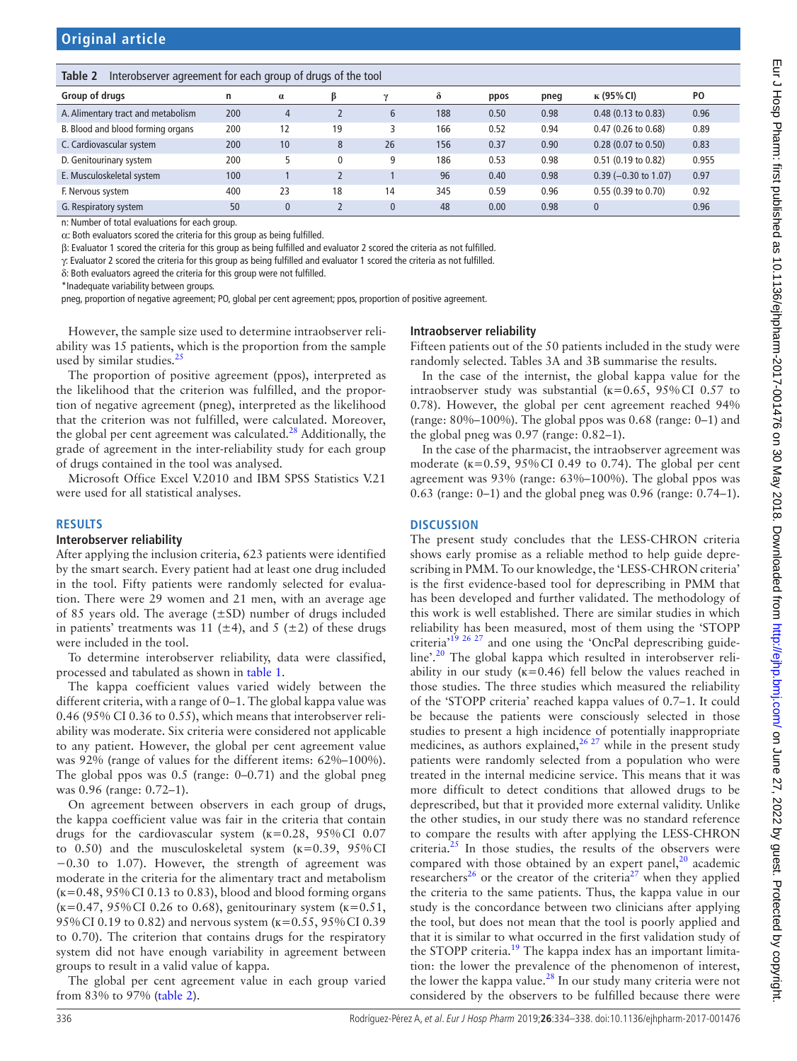## <span id="page-2-0"></span>**Table 2** Interobserver agreement for each group of drugs of the tool

| Group of drugs                     | n   | $\alpha$       |    |               | δ   | ppos | pneg | к (95% CI)               | P <sub>O</sub> |
|------------------------------------|-----|----------------|----|---------------|-----|------|------|--------------------------|----------------|
| A. Alimentary tract and metabolism | 200 | $\overline{4}$ |    | $\mathfrak b$ | 188 | 0.50 | 0.98 | $0.48$ (0.13 to 0.83)    | 0.96           |
| B. Blood and blood forming organs  | 200 | 12             | 19 |               | 166 | 0.52 | 0.94 | 0.47 (0.26 to 0.68)      | 0.89           |
| C. Cardiovascular system           | 200 | 10             | 8  | 26            | 156 | 0.37 | 0.90 | $0.28(0.07)$ to $0.50$ ) | 0.83           |
| D. Genitourinary system            | 200 |                |    | q             | 186 | 0.53 | 0.98 | 0.51 (0.19 to 0.82)      | 0.955          |
| E. Musculoskeletal system          | 100 |                |    |               | 96  | 0.40 | 0.98 | $0.39$ (-0.30 to 1.07)   | 0.97           |
| F. Nervous system                  | 400 | 23             | 18 | 14            | 345 | 0.59 | 0.96 | $0.55(0.39)$ to $0.70$   | 0.92           |
| G. Respiratory system              | 50  | $\mathbf{0}$   |    |               | 48  | 0.00 | 0.98 | $\mathbf{0}$             | 0.96           |

n: Number of total evaluations for each group.

α: Both evaluators scored the criteria for this group as being fulfilled.

β: Evaluator 1 scored the criteria for this group as being fulfilled and evaluator 2 scored the criteria as not fulfilled.

γ: Evaluator 2 scored the criteria for this group as being fulfilled and evaluator 1 scored the criteria as not fulfilled.

δ: Both evaluators agreed the criteria for this group were not fulfilled.

\*Inadequate variability between groups.

pneg, proportion of negative agreement; PO, global per cent agreement; ppos, proportion of positive agreement.

However, the sample size used to determine intraobserver reliability was 15 patients, which is the proportion from the sample used by similar studies.<sup>[25](#page-4-16)</sup>

The proportion of positive agreement (ppos), interpreted as the likelihood that the criterion was fulfilled, and the proportion of negative agreement (pneg), interpreted as the likelihood that the criterion was not fulfilled, were calculated. Moreover, the global per cent agreement was calculated.<sup>28</sup> Additionally, the grade of agreement in the inter-reliability study for each group of drugs contained in the tool was analysed.

Microsoft Office Excel V.2010 and IBM SPSS Statistics V.21 were used for all statistical analyses.

#### **Results**

#### **Interobserver reliability**

After applying the inclusion criteria, 623 patients were identified by the smart search. Every patient had at least one drug included in the tool. Fifty patients were randomly selected for evaluation. There were 29 women and 21 men, with an average age of 85 years old. The average  $(\pm SD)$  number of drugs included in patients' treatments was 11 ( $\pm$ 4), and 5 ( $\pm$ 2) of these drugs were included in the tool.

To determine interobserver reliability, data were classified, processed and tabulated as shown in [table](#page-1-0) 1.

The kappa coefficient values varied widely between the different criteria, with a range of 0–1. The global kappa value was 0.46 (95% CI 0.36 to 0.55), which means that interobserver reliability was moderate. Six criteria were considered not applicable to any patient. However, the global per cent agreement value was 92% (range of values for the different items: 62%–100%). The global ppos was 0.5 (range: 0–0.71) and the global pneg was 0.96 (range: 0.72–1).

On agreement between observers in each group of drugs, the kappa coefficient value was fair in the criteria that contain drugs for the cardiovascular system  $(k=0.28, 95\% \text{ CI } 0.07$ to 0.50) and the musculoskeletal system  $(k=0.39, 95\%$ CI −0.30 to 1.07). However, the strength of agreement was moderate in the criteria for the alimentary tract and metabolism  $(k=0.48, 95\% \text{ CI } 0.13 \text{ to } 0.83)$ , blood and blood forming organs  $(k=0.47, 95\% \text{ CI } 0.26 \text{ to } 0.68)$ , genitourinary system  $(k=0.51,$ 95%CI 0.19 to 0.82) and nervous system (ĸ=0.55, 95%CI 0.39 to 0.70). The criterion that contains drugs for the respiratory system did not have enough variability in agreement between groups to result in a valid value of kappa.

The global per cent agreement value in each group varied from 83% to 97% [\(table](#page-2-0) 2).

#### **Intraobserver reliability**

Fifteen patients out of the 50 patients included in the study were randomly selected. Tables 3A and 3B summarise the results.

In the case of the internist, the global kappa value for the intraobserver study was substantial ( $\kappa$ =0.65, 95%CI 0.57 to 0.78). However, the global per cent agreement reached 94% (range:  $80\% - 100\%$ ). The global ppos was 0.68 (range: 0–1) and the global pneg was 0.97 (range: 0.82–1).

In the case of the pharmacist, the intraobserver agreement was moderate ( $\kappa$ =0.59, 95% CI 0.49 to 0.74). The global per cent agreement was 93% (range: 63%–100%). The global ppos was 0.63 (range: 0–1) and the global pneg was 0.96 (range: 0.74–1).

#### **Discussion**

The present study concludes that the LESS-CHRON criteria shows early promise as a reliable method to help guide deprescribing in PMM. To our knowledge, the 'LESS-CHRON criteria' is the first evidence-based tool for deprescribing in PMM that has been developed and further validated. The methodology of this work is well established. There are similar studies in which reliability has been measured, most of them using the 'STOPP criteria'[19 26 27](#page-4-12) and one using the 'OncPal deprescribing guide-line'.<sup>[20](#page-4-13)</sup> The global kappa which resulted in interobserver reliability in our study  $(k=0.46)$  fell below the values reached in those studies. The three studies which measured the reliability of the 'STOPP criteria' reached kappa values of 0.7–1. It could be because the patients were consciously selected in those studies to present a high incidence of potentially inappropriate medicines, as authors explained,  $26\frac{27}{27}$  while in the present study patients were randomly selected from a population who were treated in the internal medicine service. This means that it was more difficult to detect conditions that allowed drugs to be deprescribed, but that it provided more external validity. Unlike the other studies, in our study there was no standard reference to compare the results with after applying the LESS-CHRON criteria. $25$  In those studies, the results of the observers were compared with those obtained by an expert panel, $^{20}$  $^{20}$  $^{20}$  academic researchers<sup>[26](#page-4-18)</sup> or the creator of the criteria<sup>27</sup> when they applied the criteria to the same patients. Thus, the kappa value in our study is the concordance between two clinicians after applying the tool, but does not mean that the tool is poorly applied and that it is similar to what occurred in the first validation study of the STOPP criteria.<sup>19</sup> The kappa index has an important limitation: the lower the prevalence of the phenomenon of interest, the lower the kappa value. $^{28}$  In our study many criteria were not considered by the observers to be fulfilled because there were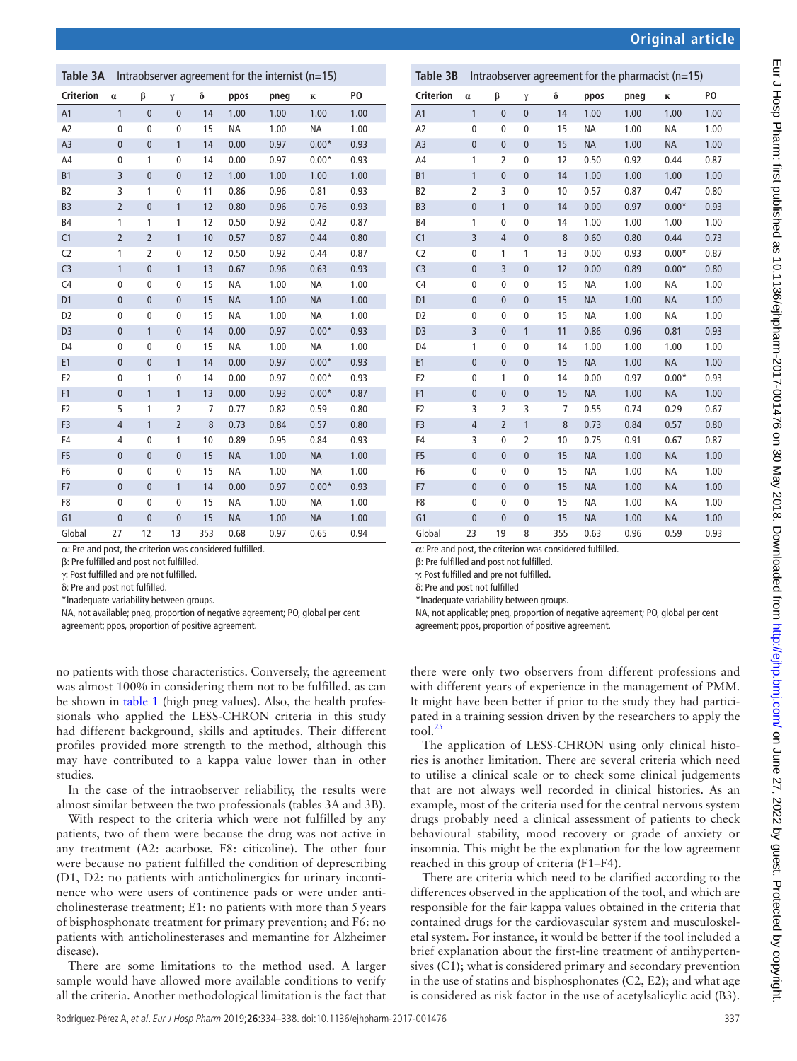| Table 3A         | Intraobserver agreement for the internist ( $n=15$ ) |                |                |          |           |      |           |      |  |
|------------------|------------------------------------------------------|----------------|----------------|----------|-----------|------|-----------|------|--|
| <b>Criterion</b> | $\alpha$                                             | β              | γ              | $\delta$ | ppos      | pneg | K         | PO   |  |
| A1               | $\overline{1}$                                       | $\mathbf{0}$   | $\mathbf{0}$   | 14       | 1.00      | 1.00 | 1.00      | 1.00 |  |
| A <sub>2</sub>   | $\pmb{0}$                                            | 0              | $\mathbf 0$    | 15       | <b>NA</b> | 1.00 | <b>NA</b> | 1.00 |  |
| A <sub>3</sub>   | $\pmb{0}$                                            | $\mathbf{0}$   | $\mathbf{1}$   | 14       | 0.00      | 0.97 | $0.00*$   | 0.93 |  |
| A4               | $\pmb{0}$                                            | 1              | 0              | 14       | 0.00      | 0.97 | $0.00*$   | 0.93 |  |
| B1               | 3                                                    | $\mathbf{0}$   | $\mathbf{0}$   | 12       | 1.00      | 1.00 | 1.00      | 1.00 |  |
| B <sub>2</sub>   | 3                                                    | 1              | 0              | 11       | 0.86      | 0.96 | 0.81      | 0.93 |  |
| B <sub>3</sub>   | $\overline{2}$                                       | $\overline{0}$ | $\mathbf{1}$   | 12       | 0.80      | 0.96 | 0.76      | 0.93 |  |
| <b>B4</b>        | 1                                                    | 1              | 1              | 12       | 0.50      | 0.92 | 0.42      | 0.87 |  |
| C1               | $\overline{2}$                                       | $\overline{2}$ | 1              | 10       | 0.57      | 0.87 | 0.44      | 0.80 |  |
| C <sub>2</sub>   | 1                                                    | 2              | $\mathbf 0$    | 12       | 0.50      | 0.92 | 0.44      | 0.87 |  |
| C <sub>3</sub>   | 1                                                    | $\mathbf{0}$   | 1              | 13       | 0.67      | 0.96 | 0.63      | 0.93 |  |
| C <sub>4</sub>   | $\mathbf 0$                                          | $\mathbf 0$    | 0              | 15       | <b>NA</b> | 1.00 | <b>NA</b> | 1.00 |  |
| D <sub>1</sub>   | $\pmb{0}$                                            | $\mathbf{0}$   | $\overline{0}$ | 15       | <b>NA</b> | 1.00 | <b>NA</b> | 1.00 |  |
| D <sub>2</sub>   | $\mathbf 0$                                          | $\mathbf 0$    | 0              | 15       | <b>NA</b> | 1.00 | <b>NA</b> | 1.00 |  |
| D <sub>3</sub>   | $\pmb{0}$                                            | $\mathbf{1}$   | $\mathbf{0}$   | 14       | 0.00      | 0.97 | $0.00*$   | 0.93 |  |
| D <sub>4</sub>   | $\mathbf 0$                                          | $\mathbf 0$    | 0              | 15       | <b>NA</b> | 1.00 | <b>NA</b> | 1.00 |  |
| E <sub>1</sub>   | $\pmb{0}$                                            | $\bf{0}$       | 1              | 14       | 0.00      | 0.97 | $0.00*$   | 0.93 |  |
| E <sub>2</sub>   | 0                                                    | 1              | 0              | 14       | 0.00      | 0.97 | $0.00*$   | 0.93 |  |
| F1               | $\bf{0}$                                             | $\mathbf{1}$   | $\mathbf{1}$   | 13       | 0.00      | 0.93 | $0.00*$   | 0.87 |  |
| F <sub>2</sub>   | 5                                                    | 1              | $\overline{2}$ | 7        | 0.77      | 0.82 | 0.59      | 0.80 |  |
| F <sub>3</sub>   | $\overline{4}$                                       | $\mathbf{1}$   | $\overline{2}$ | 8        | 0.73      | 0.84 | 0.57      | 0.80 |  |
| F4               | 4                                                    | $\mathbf 0$    | 1              | 10       | 0.89      | 0.95 | 0.84      | 0.93 |  |
| F <sub>5</sub>   | $\pmb{0}$                                            | $\overline{0}$ | $\overline{0}$ | 15       | <b>NA</b> | 1.00 | <b>NA</b> | 1.00 |  |
| F <sub>6</sub>   | $\pmb{0}$                                            | 0              | $\mathbf{0}$   | 15       | <b>NA</b> | 1.00 | <b>NA</b> | 1.00 |  |
| F7               | $\bf{0}$                                             | $\mathbf{0}$   | 1              | 14       | 0.00      | 0.97 | $0.00*$   | 0.93 |  |
| F <sub>8</sub>   | $\pmb{0}$                                            | $\bf{0}$       | $\mathbf{0}$   | 15       | <b>NA</b> | 1.00 | <b>NA</b> | 1.00 |  |
| G <sub>1</sub>   | $\mathbf{0}$                                         | $\bf{0}$       | $\overline{0}$ | 15       | <b>NA</b> | 1.00 | <b>NA</b> | 1.00 |  |
| Global           | 27                                                   | 12             | 13             | 353      | 0.68      | 0.97 | 0.65      | 0.94 |  |

α: Pre and post, the criterion was considered fulfilled.

β: Pre fulfilled and post not fulfilled.

γ: Post fulfilled and pre not fulfilled.

δ: Pre and post not fulfilled.

\*Inadequate variability between groups.

NA, not available; pneg, proportion of negative agreement; PO, global per cent

agreement; ppos, proportion of positive agreement.

no patients with those characteristics. Conversely, the agreement was almost 100% in considering them not to be fulfilled, as can be shown in [table](#page-1-0) 1 (high pneg values). Also, the health professionals who applied the LESS-CHRON criteria in this study had different background, skills and aptitudes. Their different profiles provided more strength to the method, although this may have contributed to a kappa value lower than in other studies.

In the case of the intraobserver reliability, the results were almost similar between the two professionals (tables 3A and 3B).

With respect to the criteria which were not fulfilled by any patients, two of them were because the drug was not active in any treatment (A2: acarbose, F8: citicoline). The other four were because no patient fulfilled the condition of deprescribing (D1, D2: no patients with anticholinergics for urinary incontinence who were users of continence pads or were under anticholinesterase treatment; E1: no patients with more than 5years of bisphosphonate treatment for primary prevention; and F6: no patients with anticholinesterases and memantine for Alzheimer disease).

There are some limitations to the method used. A larger sample would have allowed more available conditions to verify all the criteria. Another methodological limitation is the fact that

| Table 3B         |                | Intraobserver agreement for the pharmacist $(n=15)$ |                |          |           |      |           |      |  |  |
|------------------|----------------|-----------------------------------------------------|----------------|----------|-----------|------|-----------|------|--|--|
| <b>Criterion</b> | $\alpha$       | β                                                   | γ              | $\delta$ | ppos      | pneg | K         | PO.  |  |  |
| A1               | $\mathbf{1}$   | $\pmb{0}$                                           | $\mathbf{0}$   | 14       | 1.00      | 1.00 | 1.00      | 1.00 |  |  |
| A <sub>2</sub>   | $\mathbf 0$    | 0                                                   | $\mathbf 0$    | 15       | <b>NA</b> | 1.00 | <b>NA</b> | 1.00 |  |  |
| A <sub>3</sub>   | $\mathbf{0}$   | $\mathbf{0}$                                        | $\overline{0}$ | 15       | <b>NA</b> | 1.00 | <b>NA</b> | 1.00 |  |  |
| A4               | 1              | 2                                                   | 0              | 12       | 0.50      | 0.92 | 0.44      | 0.87 |  |  |
| <b>B1</b>        | 1              | $\bf{0}$                                            | $\mathbf{0}$   | 14       | 1.00      | 1.00 | 1.00      | 1.00 |  |  |
| B <sub>2</sub>   | $\overline{2}$ | 3                                                   | $\mathbf 0$    | 10       | 0.57      | 0.87 | 0.47      | 0.80 |  |  |
| B <sub>3</sub>   | $\mathbf{0}$   | $\mathbf{1}$                                        | $\mathbf{0}$   | 14       | 0.00      | 0.97 | $0.00*$   | 0.93 |  |  |
| <b>B4</b>        | 1              | 0                                                   | 0              | 14       | 1.00      | 1.00 | 1.00      | 1.00 |  |  |
| C1               | 3              | 4                                                   | $\mathbf{0}$   | 8        | 0.60      | 0.80 | 0.44      | 0.73 |  |  |
| C <sub>2</sub>   | 0              | 1                                                   | 1              | 13       | 0.00      | 0.93 | $0.00*$   | 0.87 |  |  |
| C <sub>3</sub>   | $\overline{0}$ | 3                                                   | $\mathbf{0}$   | 12       | 0.00      | 0.89 | $0.00*$   | 0.80 |  |  |
| C <sub>4</sub>   | 0              | 0                                                   | 0              | 15       | <b>NA</b> | 1.00 | ΝA        | 1.00 |  |  |
| D1               | $\bf 0$        | $\pmb{0}$                                           | $\bf 0$        | 15       | <b>NA</b> | 1.00 | <b>NA</b> | 1.00 |  |  |
| D <sub>2</sub>   | 0              | 0                                                   | 0              | 15       | <b>NA</b> | 1.00 | <b>NA</b> | 1.00 |  |  |
| D <sub>3</sub>   | 3              | $\bf{0}$                                            | 1              | 11       | 0.86      | 0.96 | 0.81      | 0.93 |  |  |
| D4               | 1              | 0                                                   | 0              | 14       | 1.00      | 1.00 | 1.00      | 1.00 |  |  |
| E <sub>1</sub>   | $\bf 0$        | $\pmb{0}$                                           | $\bf 0$        | 15       | <b>NA</b> | 1.00 | <b>NA</b> | 1.00 |  |  |
| E <sub>2</sub>   | 0              | 1                                                   | 0              | 14       | 0.00      | 0.97 | $0.00*$   | 0.93 |  |  |
| F <sub>1</sub>   | $\bf 0$        | $\pmb{0}$                                           | $\bf 0$        | 15       | <b>NA</b> | 1.00 | <b>NA</b> | 1.00 |  |  |
| F <sub>2</sub>   | 3              | 2                                                   | 3              | 7        | 0.55      | 0.74 | 0.29      | 0.67 |  |  |
| F <sub>3</sub>   | $\overline{4}$ | $\overline{2}$                                      | 1              | 8        | 0.73      | 0.84 | 0.57      | 0.80 |  |  |
| F4               | 3              | 0                                                   | $\overline{2}$ | 10       | 0.75      | 0.91 | 0.67      | 0.87 |  |  |
| F <sub>5</sub>   | $\bf 0$        | $\pmb{0}$                                           | $\bf{0}$       | 15       | <b>NA</b> | 1.00 | <b>NA</b> | 1.00 |  |  |
| F6               | 0              | 0                                                   | $\mathbf 0$    | 15       | <b>NA</b> | 1.00 | <b>NA</b> | 1.00 |  |  |
| F7               | $\bf{0}$       | $\bf 0$                                             | $\bf{0}$       | 15       | <b>NA</b> | 1.00 | <b>NA</b> | 1.00 |  |  |
| F8               | $\bf{0}$       | 0                                                   | $\bf{0}$       | 15       | <b>NA</b> | 1.00 | <b>NA</b> | 1.00 |  |  |
| G1               | $\bf{0}$       | $\bf 0$                                             | $\bf{0}$       | 15       | <b>NA</b> | 1.00 | <b>NA</b> | 1.00 |  |  |
| Global           | 23             | 19                                                  | 8              | 355      | 0.63      | 0.96 | 0.59      | 0.93 |  |  |

 $\alpha$ : Pre and post, the criterion was considered fulfilled.

β: Pre fulfilled and post not fulfilled.

γ: Post fulfilled and pre not fulfilled.

δ: Pre and post not fulfilled

\*Inadequate variability between groups.

NA, not applicable; pneg, proportion of negative agreement; PO, global per cent agreement; ppos, proportion of positive agreement.

there were only two observers from different professions and with different years of experience in the management of PMM. It might have been better if prior to the study they had participated in a training session driven by the researchers to apply the tool. $^{25}$  $^{25}$  $^{25}$ 

The application of LESS-CHRON using only clinical histories is another limitation. There are several criteria which need to utilise a clinical scale or to check some clinical judgements that are not always well recorded in clinical histories. As an example, most of the criteria used for the central nervous system drugs probably need a clinical assessment of patients to check behavioural stability, mood recovery or grade of anxiety or insomnia. This might be the explanation for the low agreement reached in this group of criteria (F1–F4).

There are criteria which need to be clarified according to the differences observed in the application of the tool, and which are responsible for the fair kappa values obtained in the criteria that contained drugs for the cardiovascular system and musculoskeletal system. For instance, it would be better if the tool included a brief explanation about the first-line treatment of antihypertensives (C1); what is considered primary and secondary prevention in the use of statins and bisphosphonates (C2, E2); and what age is considered as risk factor in the use of acetylsalicylic acid (B3).